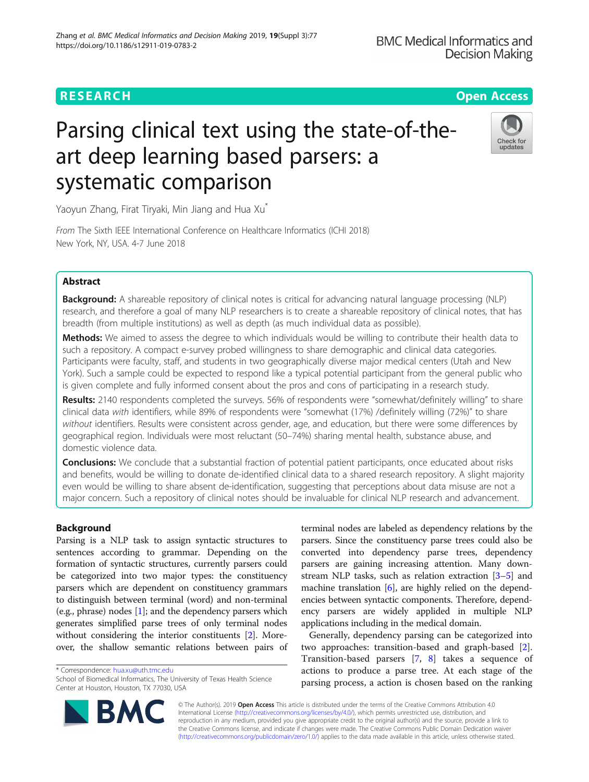# **RESEARCH CHINESE ARCH CHINESE ARCHITECT AND INCLUSIVE ARCHITECT ARCHITECT ARCHITECT ARCHITECT ARCHITECT ARCHITECT ARCHITECT ARCHITECT ARCHITECT ARCHITECT ARCHITECT ARCHITECT ARCHITECT ARCHITECT ARCHITECT ARCHITECT ARC**

# Parsing clinical text using the state-of-theart deep learning based parsers: a systematic comparison



Yaoyun Zhang, Firat Tiryaki, Min Jiang and Hua Xu<sup>\*</sup>

From The Sixth IEEE International Conference on Healthcare Informatics (ICHI 2018) New York, NY, USA. 4-7 June 2018

# Abstract

**Background:** A shareable repository of clinical notes is critical for advancing natural language processing (NLP) research, and therefore a goal of many NLP researchers is to create a shareable repository of clinical notes, that has breadth (from multiple institutions) as well as depth (as much individual data as possible).

Methods: We aimed to assess the degree to which individuals would be willing to contribute their health data to such a repository. A compact e-survey probed willingness to share demographic and clinical data categories. Participants were faculty, staff, and students in two geographically diverse major medical centers (Utah and New York). Such a sample could be expected to respond like a typical potential participant from the general public who is given complete and fully informed consent about the pros and cons of participating in a research study.

Results: 2140 respondents completed the surveys. 56% of respondents were "somewhat/definitely willing" to share clinical data with identifiers, while 89% of respondents were "somewhat (17%) /definitely willing (72%)" to share without identifiers. Results were consistent across gender, age, and education, but there were some differences by geographical region. Individuals were most reluctant (50–74%) sharing mental health, substance abuse, and domestic violence data.

**Conclusions:** We conclude that a substantial fraction of potential patient participants, once educated about risks and benefits, would be willing to donate de-identified clinical data to a shared research repository. A slight majority even would be willing to share absent de-identification, suggesting that perceptions about data misuse are not a major concern. Such a repository of clinical notes should be invaluable for clinical NLP research and advancement.

# Background

Parsing is a NLP task to assign syntactic structures to sentences according to grammar. Depending on the formation of syntactic structures, currently parsers could be categorized into two major types: the constituency parsers which are dependent on constituency grammars to distinguish between terminal (word) and non-terminal (e.g., phrase) nodes [\[1](#page-6-0)]; and the dependency parsers which generates simplified parse trees of only terminal nodes without considering the interior constituents [[2](#page-7-0)]. Moreover, the shallow semantic relations between pairs of

\* Correspondence: [hua.xu@uth.tmc.edu](mailto:hua.xu@uth.tmc.edu)

terminal nodes are labeled as dependency relations by the parsers. Since the constituency parse trees could also be converted into dependency parse trees, dependency parsers are gaining increasing attention. Many downstream NLP tasks, such as relation extraction [\[3](#page-7-0)–[5\]](#page-7-0) and machine translation [[6\]](#page-7-0), are highly relied on the dependencies between syntactic components. Therefore, dependency parsers are widely applided in multiple NLP applications including in the medical domain.

Generally, dependency parsing can be categorized into two approaches: transition-based and graph-based [\[2](#page-7-0)]. Transition-based parsers [\[7](#page-7-0), [8](#page-7-0)] takes a sequence of actions to produce a parse tree. At each stage of the parsing process, a action is chosen based on the ranking

© The Author(s). 2019 **Open Access** This article is distributed under the terms of the Creative Commons Attribution 4.0 International License [\(http://creativecommons.org/licenses/by/4.0/](http://creativecommons.org/licenses/by/4.0/)), which permits unrestricted use, distribution, and reproduction in any medium, provided you give appropriate credit to the original author(s) and the source, provide a link to the Creative Commons license, and indicate if changes were made. The Creative Commons Public Domain Dedication waiver [\(http://creativecommons.org/publicdomain/zero/1.0/](http://creativecommons.org/publicdomain/zero/1.0/)) applies to the data made available in this article, unless otherwise stated.



School of Biomedical Informatics, The University of Texas Health Science Center at Houston, Houston, TX 77030, USA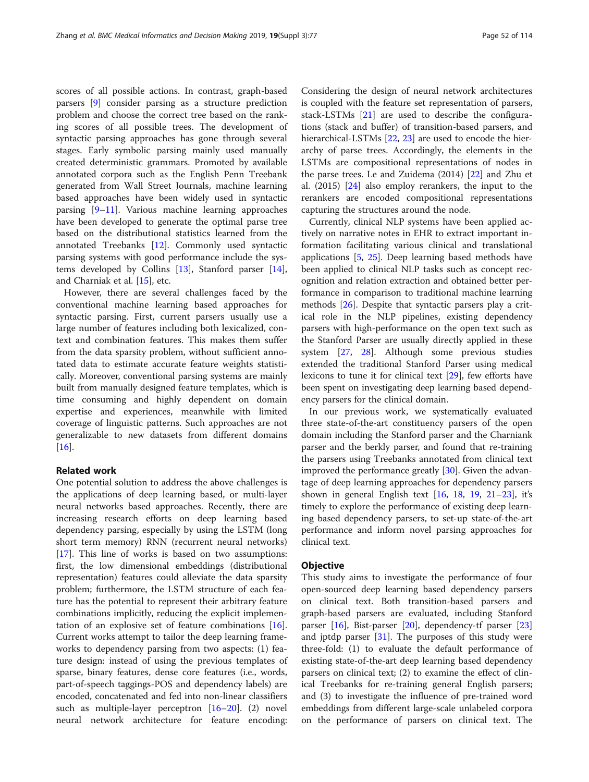scores of all possible actions. In contrast, graph-based parsers [\[9](#page-7-0)] consider parsing as a structure prediction problem and choose the correct tree based on the ranking scores of all possible trees. The development of syntactic parsing approaches has gone through several stages. Early symbolic parsing mainly used manually created deterministic grammars. Promoted by available annotated corpora such as the English Penn Treebank generated from Wall Street Journals, machine learning based approaches have been widely used in syntactic parsing [[9](#page-7-0)–[11](#page-7-0)]. Various machine learning approaches have been developed to generate the optimal parse tree based on the distributional statistics learned from the annotated Treebanks [\[12\]](#page-7-0). Commonly used syntactic parsing systems with good performance include the systems developed by Collins [[13](#page-7-0)], Stanford parser [\[14](#page-7-0)], and Charniak et al. [[15](#page-7-0)], etc.

However, there are several challenges faced by the conventional machine learning based approaches for syntactic parsing. First, current parsers usually use a large number of features including both lexicalized, context and combination features. This makes them suffer from the data sparsity problem, without sufficient annotated data to estimate accurate feature weights statistically. Moreover, conventional parsing systems are mainly built from manually designed feature templates, which is time consuming and highly dependent on domain expertise and experiences, meanwhile with limited coverage of linguistic patterns. Such approaches are not generalizable to new datasets from different domains [[16\]](#page-7-0).

### Related work

One potential solution to address the above challenges is the applications of deep learning based, or multi-layer neural networks based approaches. Recently, there are increasing research efforts on deep learning based dependency parsing, especially by using the LSTM (long short term memory) RNN (recurrent neural networks) [[17\]](#page-7-0). This line of works is based on two assumptions: first, the low dimensional embeddings (distributional representation) features could alleviate the data sparsity problem; furthermore, the LSTM structure of each feature has the potential to represent their arbitrary feature combinations implicitly, reducing the explicit implementation of an explosive set of feature combinations [\[16](#page-7-0)]. Current works attempt to tailor the deep learning frameworks to dependency parsing from two aspects: (1) feature design: instead of using the previous templates of sparse, binary features, dense core features (i.e., words, part-of-speech taggings-POS and dependency labels) are encoded, concatenated and fed into non-linear classifiers such as multiple-layer perceptron [[16](#page-7-0)–[20](#page-7-0)]. (2) novel neural network architecture for feature encoding:

Considering the design of neural network architectures is coupled with the feature set representation of parsers, stack-LSTMs [[21\]](#page-7-0) are used to describe the configurations (stack and buffer) of transition-based parsers, and hierarchical-LSTMs [\[22,](#page-7-0) [23\]](#page-7-0) are used to encode the hierarchy of parse trees. Accordingly, the elements in the LSTMs are compositional representations of nodes in the parse trees. Le and Zuidema (2014) [[22](#page-7-0)] and Zhu et al. (2015) [[24\]](#page-7-0) also employ rerankers, the input to the rerankers are encoded compositional representations capturing the structures around the node.

Currently, clinical NLP systems have been applied actively on narrative notes in EHR to extract important information facilitating various clinical and translational applications  $[5, 25]$  $[5, 25]$  $[5, 25]$  $[5, 25]$ . Deep learning based methods have been applied to clinical NLP tasks such as concept recognition and relation extraction and obtained better performance in comparison to traditional machine learning methods [[26\]](#page-7-0). Despite that syntactic parsers play a critical role in the NLP pipelines, existing dependency parsers with high-performance on the open text such as the Stanford Parser are usually directly applied in these system [\[27](#page-7-0), [28](#page-7-0)]. Although some previous studies extended the traditional Stanford Parser using medical lexicons to tune it for clinical text [\[29\]](#page-7-0), few efforts have been spent on investigating deep learning based dependency parsers for the clinical domain.

In our previous work, we systematically evaluated three state-of-the-art constituency parsers of the open domain including the Stanford parser and the Charniank parser and the berkly parser, and found that re-training the parsers using Treebanks annotated from clinical text improved the performance greatly  $[30]$  $[30]$ . Given the advantage of deep learning approaches for dependency parsers shown in general English text  $[16, 18, 19, 21-23]$  $[16, 18, 19, 21-23]$  $[16, 18, 19, 21-23]$  $[16, 18, 19, 21-23]$  $[16, 18, 19, 21-23]$  $[16, 18, 19, 21-23]$  $[16, 18, 19, 21-23]$  $[16, 18, 19, 21-23]$  $[16, 18, 19, 21-23]$  $[16, 18, 19, 21-23]$ , it's timely to explore the performance of existing deep learning based dependency parsers, to set-up state-of-the-art performance and inform novel parsing approaches for clinical text.

#### **Objective**

This study aims to investigate the performance of four open-sourced deep learning based dependency parsers on clinical text. Both transition-based parsers and graph-based parsers are evaluated, including Stanford parser [[16\]](#page-7-0), Bist-parser [[20](#page-7-0)], dependency-tf parser [[23](#page-7-0)] and jptdp parser  $[31]$  $[31]$ . The purposes of this study were three-fold: (1) to evaluate the default performance of existing state-of-the-art deep learning based dependency parsers on clinical text; (2) to examine the effect of clinical Treebanks for re-training general English parsers; and (3) to investigate the influence of pre-trained word embeddings from different large-scale unlabeled corpora on the performance of parsers on clinical text. The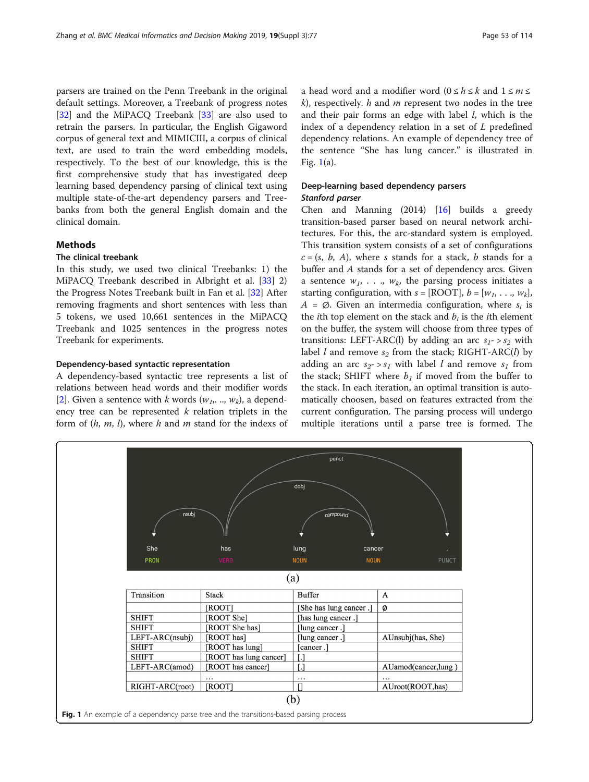<span id="page-2-0"></span>parsers are trained on the Penn Treebank in the original default settings. Moreover, a Treebank of progress notes [[32\]](#page-7-0) and the MiPACQ Treebank [[33\]](#page-7-0) are also used to retrain the parsers. In particular, the English Gigaword corpus of general text and MIMICIII, a corpus of clinical text, are used to train the word embedding models, respectively. To the best of our knowledge, this is the first comprehensive study that has investigated deep learning based dependency parsing of clinical text using multiple state-of-the-art dependency parsers and Treebanks from both the general English domain and the clinical domain.

#### **Methods**

#### The clinical treebank

In this study, we used two clinical Treebanks: 1) the MiPACQ Treebank described in Albright et al. [\[33\]](#page-7-0) 2) the Progress Notes Treebank built in Fan et al. [[32](#page-7-0)] After removing fragments and short sentences with less than 5 tokens, we used 10,661 sentences in the MiPACQ Treebank and 1025 sentences in the progress notes Treebank for experiments.

#### Dependency-based syntactic representation

A dependency-based syntactic tree represents a list of relations between head words and their modifier words [[2\]](#page-7-0). Given a sentence with k words  $(w_1, ..., w_k)$ , a dependency tree can be represented  $k$  relation triplets in the form of  $(h, m, l)$ , where h and m stand for the indexs of

a head word and a modifier word  $(0 \le h \le k$  and  $1 \le m \le k$  $k$ ), respectively.  $h$  and  $m$  represent two nodes in the tree and their pair forms an edge with label  $l$ , which is the index of a dependency relation in a set of L predefined dependency relations. An example of dependency tree of the sentence "She has lung cancer." is illustrated in Fig.  $1(a)$ .

#### Deep-learning based dependency parsers Stanford parser

Chen and Manning (2014) [\[16](#page-7-0)] builds a greedy transition-based parser based on neural network architectures. For this, the arc-standard system is employed. This transition system consists of a set of configurations  $c = (s, b, A)$ , where s stands for a stack, b stands for a buffer and A stands for a set of dependency arcs. Given a sentence  $w_1$ , ...,  $w_k$ , the parsing process initiates a starting configuration, with  $s = [ROOT], b = [w_1, \ldots, w_k],$  $A = \emptyset$ . Given an intermedia configuration, where  $s_i$  is the *i*th top element on the stack and  $b_i$  is the *i*th element on the buffer, the system will choose from three types of transitions: LEFT-ARC(l) by adding an arc  $s_1$ -> $s_2$  with label *l* and remove  $s_2$  from the stack; RIGHT-ARC(*l*) by adding an arc  $s_2$ -  $>$   $s_1$  with label l and remove  $s_1$  from the stack; SHIFT where  $b<sub>1</sub>$  if moved from the buffer to the stack. In each iteration, an optimal transition is automatically choosen, based on features extracted from the current configuration. The parsing process will undergo multiple iterations until a parse tree is formed. The

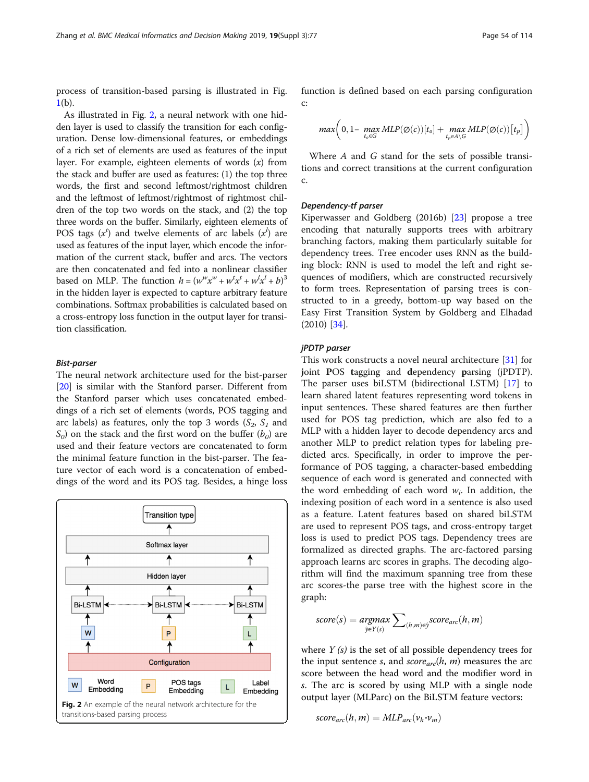process of transition-based parsing is illustrated in Fig.  $1(b)$  $1(b)$ .

As illustrated in Fig. 2, a neural network with one hidden layer is used to classify the transition for each configuration. Dense low-dimensional features, or embeddings of a rich set of elements are used as features of the input layer. For example, eighteen elements of words  $(x)$  from the stack and buffer are used as features: (1) the top three words, the first and second leftmost/rightmost children and the leftmost of leftmost/rightmost of rightmost children of the top two words on the stack, and (2) the top three words on the buffer. Similarly, eighteen elements of POS tags  $(x^{t})$  and twelve elements of arc labels  $(x^{t})$  are<br>used as features of the input layer which encode the inforused as features of the input layer, which encode the information of the current stack, buffer and arcs. The vectors are then concatenated and fed into a nonlinear classifier based on MLP. The function  $h = (w^w x^w + w^t x^t + w^t x^t + b)^3$ <br>in the bidden layer is expected to canture arbitrary feature based on MLP. The function  $h = (w^T x^T + w^T x^T + w^T x^T + b)^T$ <br>in the hidden layer is expected to capture arbitrary feature combinations. Softmax probabilities is calculated based on a cross-entropy loss function in the output layer for transition classification.

#### Bist-parser

The neural network architecture used for the bist-parser [[20\]](#page-7-0) is similar with the Stanford parser. Different from the Stanford parser which uses concatenated embeddings of a rich set of elements (words, POS tagging and arc labels) as features, only the top 3 words  $(S_2, S_1, S_2)$  $S<sub>0</sub>$ ) on the stack and the first word on the buffer  $(b<sub>0</sub>)$  are used and their feature vectors are concatenated to form the minimal feature function in the bist-parser. The feature vector of each word is a concatenation of embeddings of the word and its POS tag. Besides, a hinge loss



function is defined based on each parsing configuration c:

$$
\max \biggl(0,1-\max_{t_o \in G}MLP(\varnothing(c))[t_o]+\max_{t_p \in A\backslash G}MLP(\varnothing(c))[t_p]\biggr)
$$

Where A and G stand for the sets of possible transitions and correct transitions at the current configuration c.

#### Dependency-tf parser

Kiperwasser and Goldberg (2016b) [\[23](#page-7-0)] propose a tree encoding that naturally supports trees with arbitrary branching factors, making them particularly suitable for dependency trees. Tree encoder uses RNN as the building block: RNN is used to model the left and right sequences of modifiers, which are constructed recursively to form trees. Representation of parsing trees is constructed to in a greedy, bottom-up way based on the Easy First Transition System by Goldberg and Elhadad (2010) [[34\]](#page-7-0).

#### jPDTP parser

This work constructs a novel neural architecture [[31\]](#page-7-0) for joint POS tagging and dependency parsing (jPDTP). The parser uses biLSTM (bidirectional LSTM) [[17](#page-7-0)] to learn shared latent features representing word tokens in input sentences. These shared features are then further used for POS tag prediction, which are also fed to a MLP with a hidden layer to decode dependency arcs and another MLP to predict relation types for labeling predicted arcs. Specifically, in order to improve the performance of POS tagging, a character-based embedding sequence of each word is generated and connected with the word embedding of each word  $w_i$ . In addition, the indexing position of each word in a sentence is also used as a feature. Latent features based on shared biLSTM are used to represent POS tags, and cross-entropy target loss is used to predict POS tags. Dependency trees are formalized as directed graphs. The arc-factored parsing approach learns arc scores in graphs. The decoding algorithm will find the maximum spanning tree from these arc scores-the parse tree with the highest score in the graph:

$$
score(s) = argmax_{\hat{y} \in Y(s)} \sum_{(h,m) \in \hat{y}} score_{arc}(h,m)
$$

where  $Y(s)$  is the set of all possible dependency trees for the input sentence s, and  $score_{arc}(h, m)$  measures the arc score between the head word and the modifier word in s. The arc is scored by using MLP with a single node output layer (MLParc) on the BiLSTM feature vectors:

$$
score_{arc}(h,m) = MLP_{arc}(v_h \cdot v_m)
$$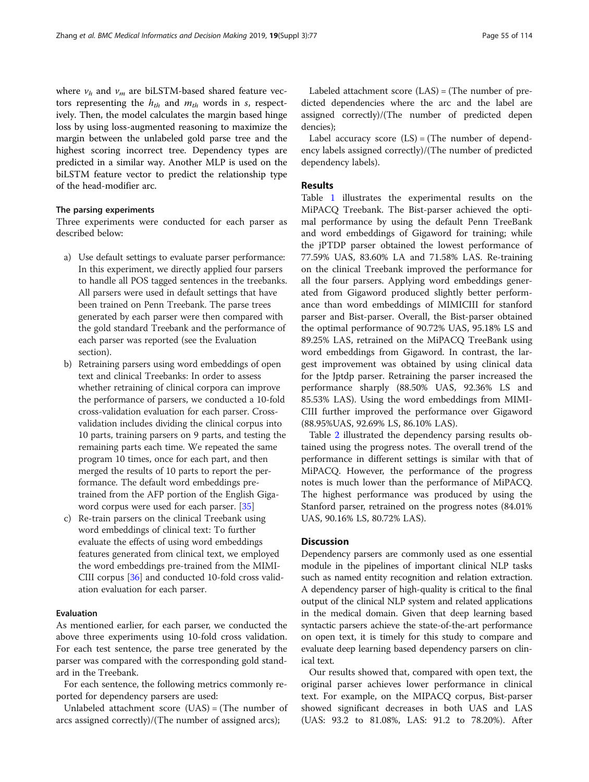where  $v_h$  and  $v_m$  are biLSTM-based shared feature vectors representing the  $h_{th}$  and  $m_{th}$  words in s, respectively. Then, the model calculates the margin based hinge loss by using loss-augmented reasoning to maximize the margin between the unlabeled gold parse tree and the highest scoring incorrect tree. Dependency types are predicted in a similar way. Another MLP is used on the biLSTM feature vector to predict the relationship type of the head-modifier arc.

#### The parsing experiments

Three experiments were conducted for each parser as described below:

- a) Use default settings to evaluate parser performance: In this experiment, we directly applied four parsers to handle all POS tagged sentences in the treebanks. All parsers were used in default settings that have been trained on Penn Treebank. The parse trees generated by each parser were then compared with the gold standard Treebank and the performance of each parser was reported (see the Evaluation section).
- b) Retraining parsers using word embeddings of open text and clinical Treebanks: In order to assess whether retraining of clinical corpora can improve the performance of parsers, we conducted a 10-fold cross-validation evaluation for each parser. Crossvalidation includes dividing the clinical corpus into 10 parts, training parsers on 9 parts, and testing the remaining parts each time. We repeated the same program 10 times, once for each part, and then merged the results of 10 parts to report the performance. The default word embeddings pretrained from the AFP portion of the English Gigaword corpus were used for each parser. [[35](#page-7-0)]
- c) Re-train parsers on the clinical Treebank using word embeddings of clinical text: To further evaluate the effects of using word embeddings features generated from clinical text, we employed the word embeddings pre-trained from the MIMI-CIII corpus [[36](#page-7-0)] and conducted 10-fold cross validation evaluation for each parser.

#### Evaluation

As mentioned earlier, for each parser, we conducted the above three experiments using 10-fold cross validation. For each test sentence, the parse tree generated by the parser was compared with the corresponding gold standard in the Treebank.

For each sentence, the following metrics commonly reported for dependency parsers are used:

Unlabeled attachment score (UAS) = (The number of arcs assigned correctly)/(The number of assigned arcs);

Labeled attachment score (LAS) = (The number of predicted dependencies where the arc and the label are assigned correctly)/(The number of predicted depen dencies);

Label accuracy score  $(LS) = (The number of depend$ ency labels assigned correctly)/(The number of predicted dependency labels).

#### Results

Table [1](#page-5-0) illustrates the experimental results on the MiPACQ Treebank. The Bist-parser achieved the optimal performance by using the default Penn TreeBank and word embeddings of Gigaword for training; while the jPTDP parser obtained the lowest performance of 77.59% UAS, 83.60% LA and 71.58% LAS. Re-training on the clinical Treebank improved the performance for all the four parsers. Applying word embeddings generated from Gigaword produced slightly better performance than word embeddings of MIMICIII for stanford parser and Bist-parser. Overall, the Bist-parser obtained the optimal performance of 90.72% UAS, 95.18% LS and 89.25% LAS, retrained on the MiPACQ TreeBank using word embeddings from Gigaword. In contrast, the largest improvement was obtained by using clinical data for the Jptdp parser. Retraining the parser increased the performance sharply (88.50% UAS, 92.36% LS and 85.53% LAS). Using the word embeddings from MIMI-CIII further improved the performance over Gigaword (88.95%UAS, 92.69% LS, 86.10% LAS).

Table [2](#page-5-0) illustrated the dependency parsing results obtained using the progress notes. The overall trend of the performance in different settings is similar with that of MiPACQ. However, the performance of the progress notes is much lower than the performance of MiPACQ. The highest performance was produced by using the Stanford parser, retrained on the progress notes (84.01% UAS, 90.16% LS, 80.72% LAS).

#### **Discussion**

Dependency parsers are commonly used as one essential module in the pipelines of important clinical NLP tasks such as named entity recognition and relation extraction. A dependency parser of high-quality is critical to the final output of the clinical NLP system and related applications in the medical domain. Given that deep learning based syntactic parsers achieve the state-of-the-art performance on open text, it is timely for this study to compare and evaluate deep learning based dependency parsers on clinical text.

Our results showed that, compared with open text, the original parser achieves lower performance in clinical text. For example, on the MIPACQ corpus, Bist-parser showed significant decreases in both UAS and LAS (UAS: 93.2 to 81.08%, LAS: 91.2 to 78.20%). After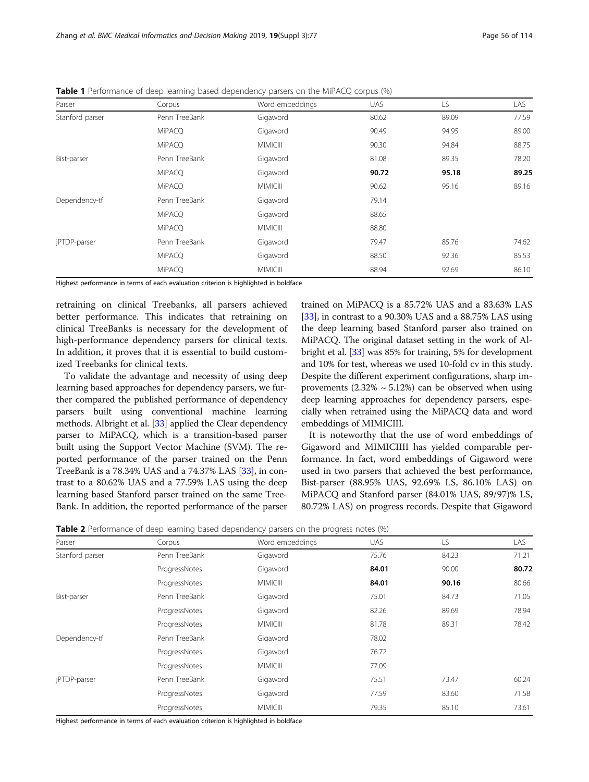| Parser          | Corpus        | Word embeddings | <b>UAS</b> | LS.   | LAS.  |
|-----------------|---------------|-----------------|------------|-------|-------|
| Stanford parser | Penn TreeBank | Gigaword        | 80.62      | 89.09 | 77.59 |
|                 | <b>MiPACQ</b> | Gigaword        | 90.49      | 94.95 | 89.00 |
|                 | <b>MiPACQ</b> | <b>MIMICIII</b> | 90.30      | 94.84 | 88.75 |
| Bist-parser     | Penn TreeBank | Gigaword        | 81.08      | 89.35 | 78.20 |
|                 | <b>MiPACQ</b> | Gigaword        | 90.72      | 95.18 | 89.25 |
|                 | <b>MiPACQ</b> | <b>MIMICIII</b> | 90.62      | 95.16 | 89.16 |
| Dependency-tf   | Penn TreeBank | Gigaword        | 79.14      |       |       |
|                 | <b>MiPACQ</b> | Gigaword        | 88.65      |       |       |
|                 | <b>MiPACO</b> | <b>MIMICIII</b> | 88.80      |       |       |
| jPTDP-parser    | Penn TreeBank | Gigaword        | 79.47      | 85.76 | 74.62 |
|                 | <b>MiPACQ</b> | Gigaword        | 88.50      | 92.36 | 85.53 |
|                 | <b>MiPACQ</b> | <b>MIMICIII</b> | 88.94      | 92.69 | 86.10 |

<span id="page-5-0"></span>**Table 1** Performance of deep learning based dependency parsers on the MiPACQ corpus (%)

Highest performance in terms of each evaluation criterion is highlighted in boldface

retraining on clinical Treebanks, all parsers achieved better performance. This indicates that retraining on clinical TreeBanks is necessary for the development of high-performance dependency parsers for clinical texts. In addition, it proves that it is essential to build customized Treebanks for clinical texts.

To validate the advantage and necessity of using deep learning based approaches for dependency parsers, we further compared the published performance of dependency parsers built using conventional machine learning methods. Albright et al. [[33](#page-7-0)] applied the Clear dependency parser to MiPACQ, which is a transition-based parser built using the Support Vector Machine (SVM). The reported performance of the parser trained on the Penn TreeBank is a 78.34% UAS and a 74.37% LAS [\[33](#page-7-0)], in contrast to a 80.62% UAS and a 77.59% LAS using the deep learning based Stanford parser trained on the same Tree-Bank. In addition, the reported performance of the parser

trained on MiPACQ is a 85.72% UAS and a 83.63% LAS [[33](#page-7-0)], in contrast to a 90.30% UAS and a 88.75% LAS using the deep learning based Stanford parser also trained on MiPACQ. The original dataset setting in the work of Albright et al. [\[33\]](#page-7-0) was 85% for training, 5% for development and 10% for test, whereas we used 10-fold cv in this study. Despite the different experiment configurations, sharp improvements  $(2.32\% \sim 5.12\%)$  can be observed when using deep learning approaches for dependency parsers, especially when retrained using the MiPACQ data and word embeddings of MIMICIII.

It is noteworthy that the use of word embeddings of Gigaword and MIMICIIII has yielded comparable performance. In fact, word embeddings of Gigaword were used in two parsers that achieved the best performance, Bist-parser (88.95% UAS, 92.69% LS, 86.10% LAS) on MiPACQ and Stanford parser (84.01% UAS, 89/97)% LS, 80.72% LAS) on progress records. Despite that Gigaword

|  | Table 2 Performance of deep learning based dependency parsers on the progress notes (%) |
|--|-----------------------------------------------------------------------------------------|
|--|-----------------------------------------------------------------------------------------|

| Parser          | Corpus        | Word embeddings | <b>UAS</b> | LS    | LAS   |
|-----------------|---------------|-----------------|------------|-------|-------|
| Stanford parser | Penn TreeBank | Gigaword        | 75.76      | 84.23 | 71.21 |
|                 | ProgressNotes | Gigaword        | 84.01      | 90.00 | 80.72 |
|                 | ProgressNotes | <b>MIMICIII</b> | 84.01      | 90.16 | 80.66 |
| Bist-parser     | Penn TreeBank | Gigaword        | 75.01      | 84.73 | 71.05 |
|                 | ProgressNotes | Gigaword        | 82.26      | 89.69 | 78.94 |
|                 | ProgressNotes | <b>MIMICIII</b> | 81.78      | 89.31 | 78.42 |
| Dependency-tf   | Penn TreeBank | Gigaword        | 78.02      |       |       |
|                 | ProgressNotes | Gigaword        | 76.72      |       |       |
|                 | ProgressNotes | <b>MIMICIII</b> | 77.09      |       |       |
| jPTDP-parser    | Penn TreeBank | Gigaword        | 75.51      | 73.47 | 60.24 |
|                 | ProgressNotes | Gigaword        | 77.59      | 83.60 | 71.58 |
|                 | ProgressNotes | <b>MIMICIII</b> | 79.35      | 85.10 | 73.61 |

Highest performance in terms of each evaluation criterion is highlighted in boldface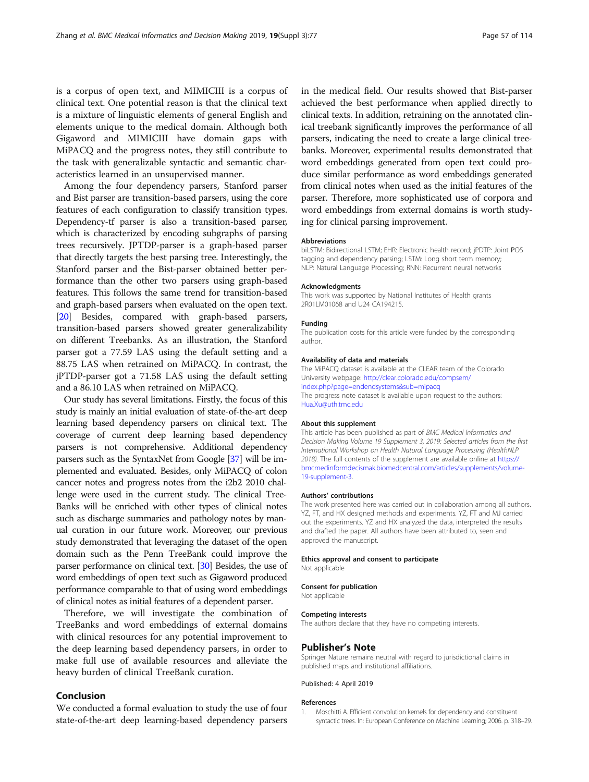<span id="page-6-0"></span>is a corpus of open text, and MIMICIII is a corpus of clinical text. One potential reason is that the clinical text is a mixture of linguistic elements of general English and elements unique to the medical domain. Although both Gigaword and MIMICIII have domain gaps with MiPACQ and the progress notes, they still contribute to the task with generalizable syntactic and semantic characteristics learned in an unsupervised manner.

Among the four dependency parsers, Stanford parser and Bist parser are transition-based parsers, using the core features of each configuration to classify transition types. Dependency-tf parser is also a transition-based parser, which is characterized by encoding subgraphs of parsing trees recursively. JPTDP-parser is a graph-based parser that directly targets the best parsing tree. Interestingly, the Stanford parser and the Bist-parser obtained better performance than the other two parsers using graph-based features. This follows the same trend for transition-based and graph-based parsers when evaluated on the open text. [[20](#page-7-0)] Besides, compared with graph-based parsers, transition-based parsers showed greater generalizability on different Treebanks. As an illustration, the Stanford parser got a 77.59 LAS using the default setting and a 88.75 LAS when retrained on MiPACQ. In contrast, the jPTDP-parser got a 71.58 LAS using the default setting and a 86.10 LAS when retrained on MiPACQ.

Our study has several limitations. Firstly, the focus of this study is mainly an initial evaluation of state-of-the-art deep learning based dependency parsers on clinical text. The coverage of current deep learning based dependency parsers is not comprehensive. Additional dependency parsers such as the SyntaxNet from Google [\[37](#page-7-0)] will be implemented and evaluated. Besides, only MiPACQ of colon cancer notes and progress notes from the i2b2 2010 challenge were used in the current study. The clinical Tree-Banks will be enriched with other types of clinical notes such as discharge summaries and pathology notes by manual curation in our future work. Moreover, our previous study demonstrated that leveraging the dataset of the open domain such as the Penn TreeBank could improve the parser performance on clinical text. [\[30\]](#page-7-0) Besides, the use of word embeddings of open text such as Gigaword produced performance comparable to that of using word embeddings of clinical notes as initial features of a dependent parser.

Therefore, we will investigate the combination of TreeBanks and word embeddings of external domains with clinical resources for any potential improvement to the deep learning based dependency parsers, in order to make full use of available resources and alleviate the heavy burden of clinical TreeBank curation.

#### Conclusion

We conducted a formal evaluation to study the use of four state-of-the-art deep learning-based dependency parsers in the medical field. Our results showed that Bist-parser achieved the best performance when applied directly to clinical texts. In addition, retraining on the annotated clinical treebank significantly improves the performance of all parsers, indicating the need to create a large clinical treebanks. Moreover, experimental results demonstrated that word embeddings generated from open text could produce similar performance as word embeddings generated from clinical notes when used as the initial features of the parser. Therefore, more sophisticated use of corpora and word embeddings from external domains is worth studying for clinical parsing improvement.

#### Abbreviations

biLSTM: Bidirectional LSTM; EHR: Electronic health record; jPDTP: Joint POS tagging and dependency parsing; LSTM: Long short term memory; NLP: Natural Language Processing; RNN: Recurrent neural networks

#### Acknowledgments

This work was supported by National Institutes of Health grants 2R01LM01068 and U24 CA194215.

#### Funding

The publication costs for this article were funded by the corresponding author.

#### Availability of data and materials

The MiPACQ dataset is available at the CLEAR team of the Colorado University webpage: [http://clear.colorado.edu/compsem/](http://clear.colorado.edu/compsem/index.php?page=endendsystems&sub=mipacq) [index.php?page=endendsystems&sub=mipacq](http://clear.colorado.edu/compsem/index.php?page=endendsystems&sub=mipacq) The progress note dataset is available upon request to the authors:

[Hua.Xu@uth.tmc.edu](mailto:Hua.Xu@uth.tmc.edu)

#### About this supplement

This article has been published as part of BMC Medical Informatics and Decision Making Volume 19 Supplement 3, 2019: Selected articles from the first International Workshop on Health Natural Language Processing (HealthNLP 2018). The full contents of the supplement are available online at [https://](https://bmcmedinformdecismak.biomedcentral.com/articles/supplements/volume-19-supplement-3) [bmcmedinformdecismak.biomedcentral.com/articles/supplements/volume-](https://bmcmedinformdecismak.biomedcentral.com/articles/supplements/volume-19-supplement-3)[19-supplement-3.](https://bmcmedinformdecismak.biomedcentral.com/articles/supplements/volume-19-supplement-3)

#### Authors' contributions

The work presented here was carried out in collaboration among all authors. YZ, FT, and HX designed methods and experiments. YZ, FT and MJ carried out the experiments. YZ and HX analyzed the data, interpreted the results and drafted the paper. All authors have been attributed to, seen and approved the manuscript.

#### Ethics approval and consent to participate

Not applicable

# Consent for publication

Not applicable

#### Competing interests

The authors declare that they have no competing interests.

#### Publisher's Note

Springer Nature remains neutral with regard to jurisdictional claims in published maps and institutional affiliations.

Published: 4 April 2019

#### References

1. Moschitti A. Efficient convolution kernels for dependency and constituent syntactic trees. In: European Conference on Machine Learning; 2006. p. 318–29.